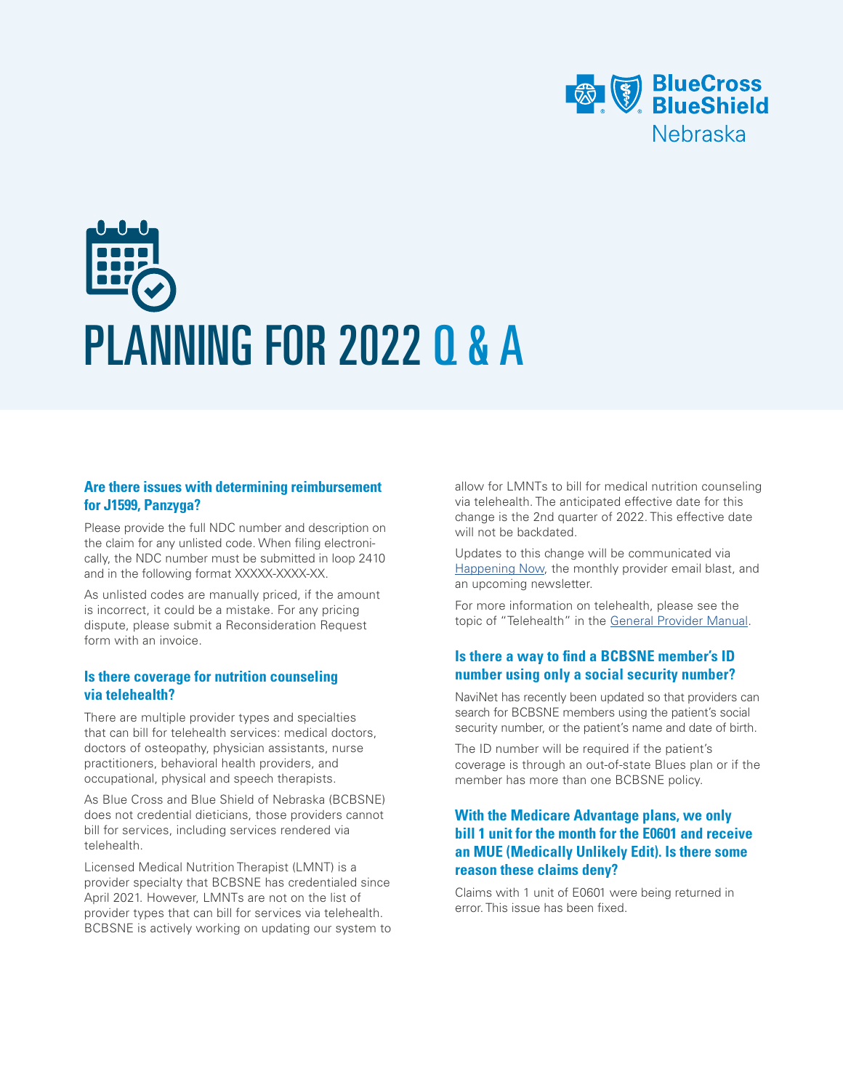

# PLANNING FOR 2022 Q & A

### **Are there issues with determining reimbursement for J1599, Panzyga?**

Please provide the full NDC number and description on the claim for any unlisted code. When filing electronically, the NDC number must be submitted in loop 2410 and in the following format XXXXX-XXX-XX.

As unlisted codes are manually priced, if the amount is incorrect, it could be a mistake. For any pricing dispute, please submit a Reconsideration Request form with an invoice.

#### **Is there coverage for nutrition counseling via telehealth?**

There are multiple provider types and specialties that can bill for telehealth services: medical doctors, doctors of osteopathy, physician assistants, nurse practitioners, behavioral health providers, and occupational, physical and speech therapists.

As Blue Cross and Blue Shield of Nebraska (BCBSNE) does not credential dieticians, those providers cannot bill for services, including services rendered via telehealth.

Licensed Medical Nutrition Therapist (LMNT) is a provider specialty that BCBSNE has credentialed since April 2021. However, LMNTs are not on the list of provider types that can bill for services via telehealth. BCBSNE is actively working on updating our system to allow for LMNTs to bill for medical nutrition counseling via telehealth. The anticipated effective date for this change is the 2nd quarter of 2022. This effective date will not be backdated.

Updates to this change will be communicated via [Happening Now](https://www.nebraskablue.com/en/Providers/Alerts-and-Updates/Happening-Now), the monthly provider email blast, and an upcoming newsletter.

For more information on telehealth, please see the topic of "Telehealth" in the [General Provider Manual](https://www.nebraskablue.com/-/media/Files/NebraskaBlueDotCom/Providers/Policies-and-Procedures/General_Provider_Manual.ashx).

# **Is there a way to find a BCBSNE member's ID number using only a social security number?**

NaviNet has recently been updated so that providers can search for BCBSNE members using the patient's social security number, or the patient's name and date of birth.

The ID number will be required if the patient's coverage is through an out-of-state Blues plan or if the member has more than one BCBSNE policy.

# **With the Medicare Advantage plans, we only bill 1 unit for the month for the E0601 and receive an MUE (Medically Unlikely Edit). Is there some reason these claims deny?**

Claims with 1 unit of E0601 were being returned in error. This issue has been fixed.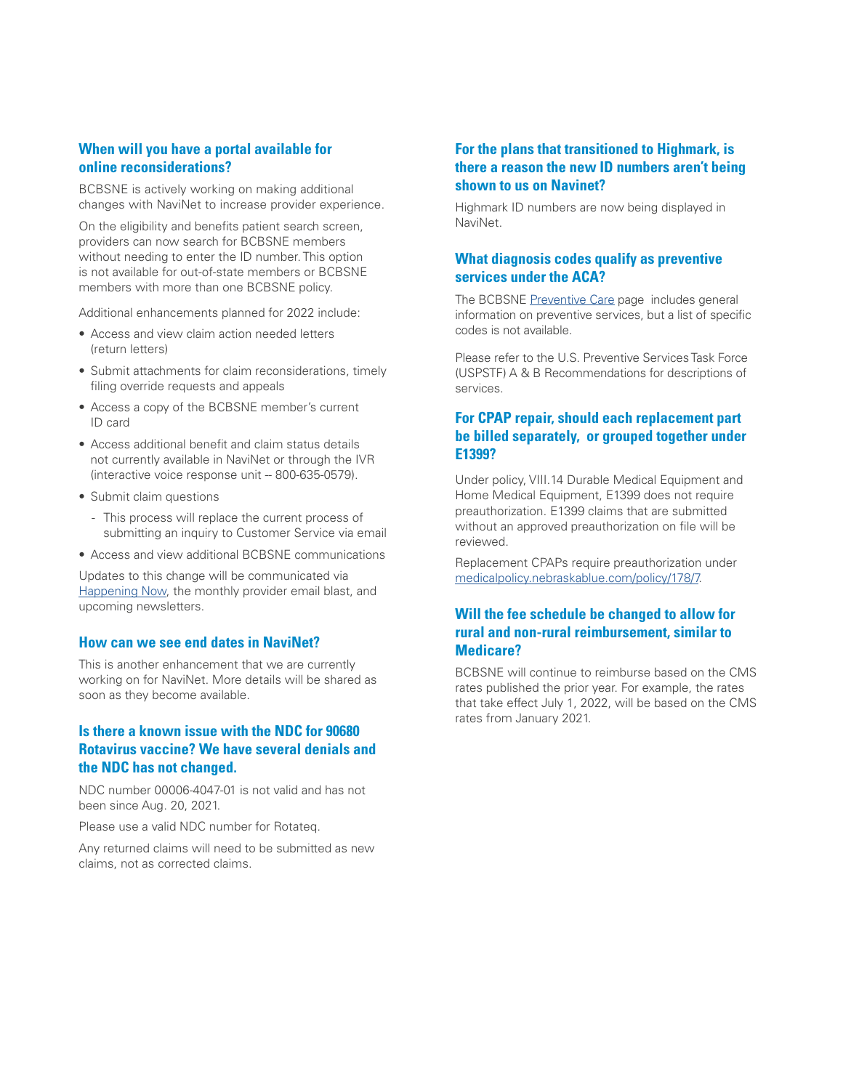# **When will you have a portal available for online reconsiderations?**

BCBSNE is actively working on making additional changes with NaviNet to increase provider experience.

On the eligibility and benefits patient search screen, providers can now search for BCBSNE members without needing to enter the ID number. This option is not available for out-of-state members or BCBSNE members with more than one BCBSNE policy.

Additional enhancements planned for 2022 include:

- Access and view claim action needed letters (return letters)
- Submit attachments for claim reconsiderations, timely filing override requests and appeals
- Access a copy of the BCBSNE member's current ID card
- Access additional benefit and claim status details not currently available in NaviNet or through the IVR  $(interactive voice response unit - 800-635-0579).$
- Submit claim questions
	- This process will replace the current process of submitting an inquiry to Customer Service via email
- Access and view additional BCBSNE communications

Updates to this change will be communicated via [Happening Now,](https://www.nebraskablue.com/en/Providers/Alerts-and-Updates/Happening-Now) the monthly provider email blast, and upcoming newsletters.

#### **How can we see end dates in NaviNet?**

This is another enhancement that we are currently working on for NaviNet. More details will be shared as soon as they become available.

# **Is there a known issue with the NDC for 90680 Rotavirus vaccine? We have several denials and the NDC has not changed.**

NDC number 00006-4047-01 is not valid and has not been since Aug. 20, 2021.

Please use a valid NDC number for Rotateq.

Any returned claims will need to be submitted as new claims, not as corrected claims.

#### **For the plans that transitioned to Highmark, is there a reason the new ID numbers aren't being shown to us on Navinet?**

Highmark ID numbers are now being displayed in NaviNet.

## **What diagnosis codes qualify as preventive services under the ACA?**

The BCBSNE [Preventive Care](https://www.nebraskablue.com/Member-Services/Getting-Care/Preventive-Care) page includes general information on preventive services, but a list of specific codes is not available.

Please refer to the U.S. Preventive Services Task Force (USPSTF) A & B Recommendations for descriptions of services.

## **For CPAP repair, should each replacement part be billed separately, or grouped together under E1399?**

Under policy, VIII.14 Durable Medical Equipment and Home Medical Equipment, E1399 does not require preauthorization. E1399 claims that are submitted without an approved preauthorization on file will be reviewed.

Replacement CPAPs require preauthorization under [medicalpolicy.nebraskablue.com/policy/178/7.](https://medicalpolicy.nebraskablue.com/policy/178/7)

## **Will the fee schedule be changed to allow for rural and non-rural reimbursement, similar to Medicare?**

BCBSNE will continue to reimburse based on the CMS rates published the prior year. For example, the rates that take effect July 1, 2022, will be based on the CMS rates from January 2021.